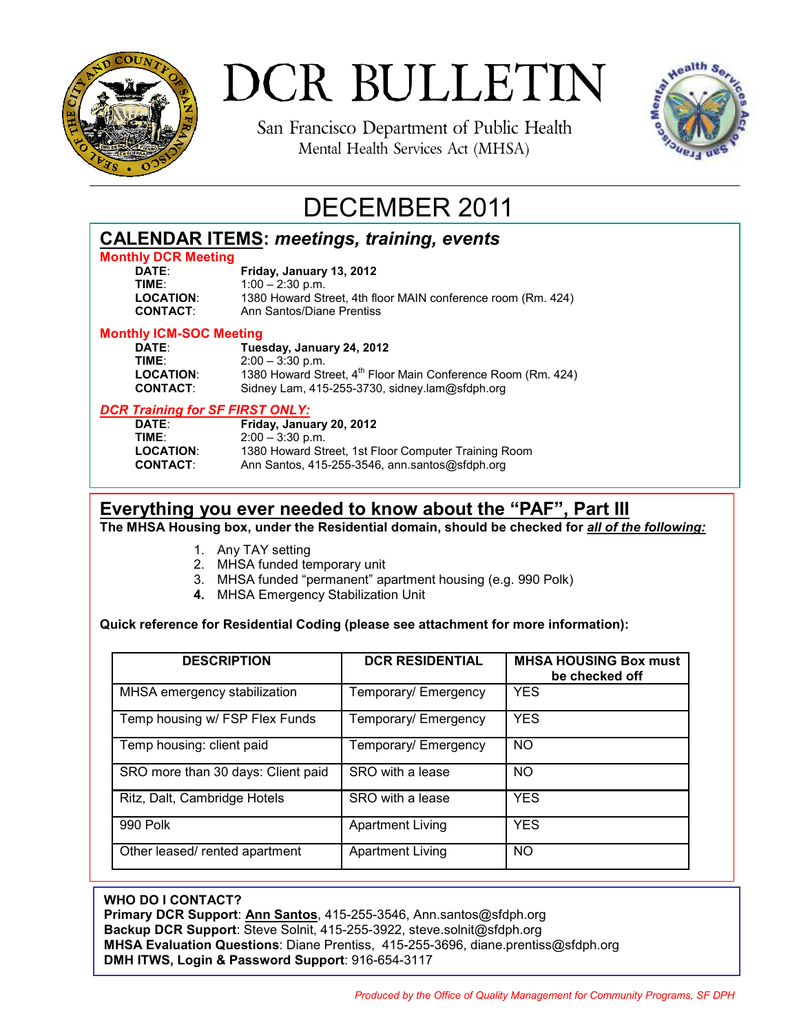

# DCR BULLETIN

San Francisco Department of Public Health Mental Health Services Act (MHSA)



# DECEMBER 2011

| <b>CALENDAR ITEMS: meetings, training, events</b> |                                                                          |  |  |
|---------------------------------------------------|--------------------------------------------------------------------------|--|--|
| <b>Monthly DCR Meeting</b>                        |                                                                          |  |  |
| DATE:                                             | Friday, January 13, 2012                                                 |  |  |
| TIME:                                             | $1:00 - 2:30$ p.m.                                                       |  |  |
| <b>LOCATION:</b>                                  | 1380 Howard Street, 4th floor MAIN conference room (Rm. 424)             |  |  |
| <b>CONTACT:</b>                                   | Ann Santos/Diane Prentiss                                                |  |  |
| <b>Monthly ICM-SOC Meeting</b>                    |                                                                          |  |  |
| DATE:                                             | Tuesday, January 24, 2012                                                |  |  |
| TIME:                                             | $2:00 - 3:30$ p.m.                                                       |  |  |
| <b>LOCATION:</b>                                  | 1380 Howard Street, 4 <sup>th</sup> Floor Main Conference Room (Rm. 424) |  |  |
| <b>CONTACT:</b>                                   | Sidney Lam, 415-255-3730, sidney.lam@sfdph.org                           |  |  |
| <b>DCR Training for SF FIRST ONLY:</b>            |                                                                          |  |  |
| DATE:                                             | Friday, January 20, 2012                                                 |  |  |
| TIME:                                             | $2:00 - 3:30$ p.m.                                                       |  |  |
| <b>LOCATION:</b>                                  | 1380 Howard Street, 1st Floor Computer Training Room                     |  |  |
| <b>CONTACT:</b>                                   | Ann Santos, 415-255-3546, ann.santos@sfdph.org                           |  |  |
|                                                   |                                                                          |  |  |

# **Everything you ever needed to know about the "PAF", Part III**

**The MHSA Housing box, under the Residential domain, should be checked for** *all of the following:*

- 1. Any TAY setting
- 2. MHSA funded temporary unit
- 3. MHSA funded "permanent" apartment housing (e.g. 990 Polk)
- **4.** MHSA Emergency Stabilization Unit

## **Quick reference for Residential Coding (please see attachment for more information):**

| <b>DESCRIPTION</b>                 | <b>DCR RESIDENTIAL</b>  | <b>MHSA HOUSING Box must</b><br>be checked off |
|------------------------------------|-------------------------|------------------------------------------------|
| MHSA emergency stabilization       | Temporary/ Emergency    | <b>YES</b>                                     |
| Temp housing w/ FSP Flex Funds     | Temporary/ Emergency    | <b>YES</b>                                     |
| Temp housing: client paid          | Temporary/ Emergency    | <b>NO</b>                                      |
| SRO more than 30 days: Client paid | SRO with a lease        | <b>NO</b>                                      |
| Ritz, Dalt, Cambridge Hotels       | SRO with a lease        | <b>YES</b>                                     |
| 990 Polk                           | <b>Apartment Living</b> | <b>YES</b>                                     |
| Other leased/ rented apartment     | <b>Apartment Living</b> | <b>NO</b>                                      |

#### **WHO DO I CONTACT?**

**Primary DCR Support**: **Ann Santos**, 415-255-3546, Ann.santos@sfdph.org **Backup DCR Support**: Steve Solnit, 415-255-3922, steve.solnit@sfdph.org **MHSA Evaluation Questions**: Diane Prentiss, 415-255-3696, diane.prentiss@sfdph.org **DMH ITWS, Login & Password Support**: 916-654-3117